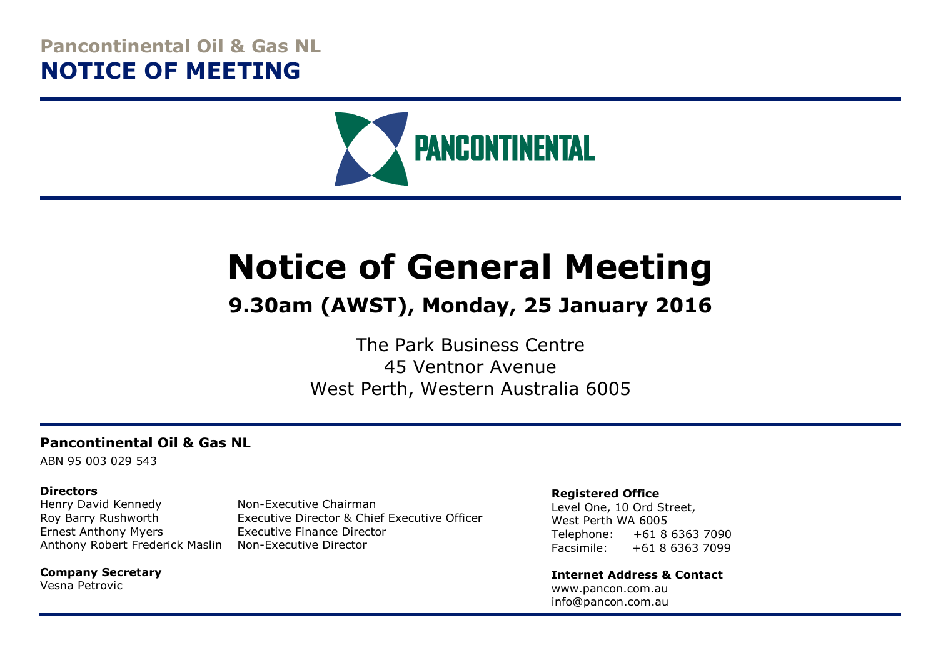# **Pancontinental Oil & Gas NL NOTICE OF MEETING**



# **Notice of General Meeting**

# **9.30am (AWST), Monday, 25 January 2016**

The Park Business Centre 45 Ventnor Avenue West Perth, Western Australia 6005

#### **Pancontinental Oil & Gas NL**

ABN 95 003 029 543

#### **Directors**

Henry David Kennedy Non-Executive Chairman Ernest Anthony Myers Executive Finance Director Anthony Robert Frederick Maslin Non-Executive Director

Roy Barry Rushworth Executive Director & Chief Executive Officer

**Company Secretary** Vesna Petrovic

#### **Registered Office**

Level One, 10 Ord Street, West Perth WA 6005 Telephone: +61 8 6363 7090 Facsimile: +61 8 6363 7099

**Internet Address & Contact** [www.pancon.com.au](http://www.pancon.com.au/) info@pancon.com.au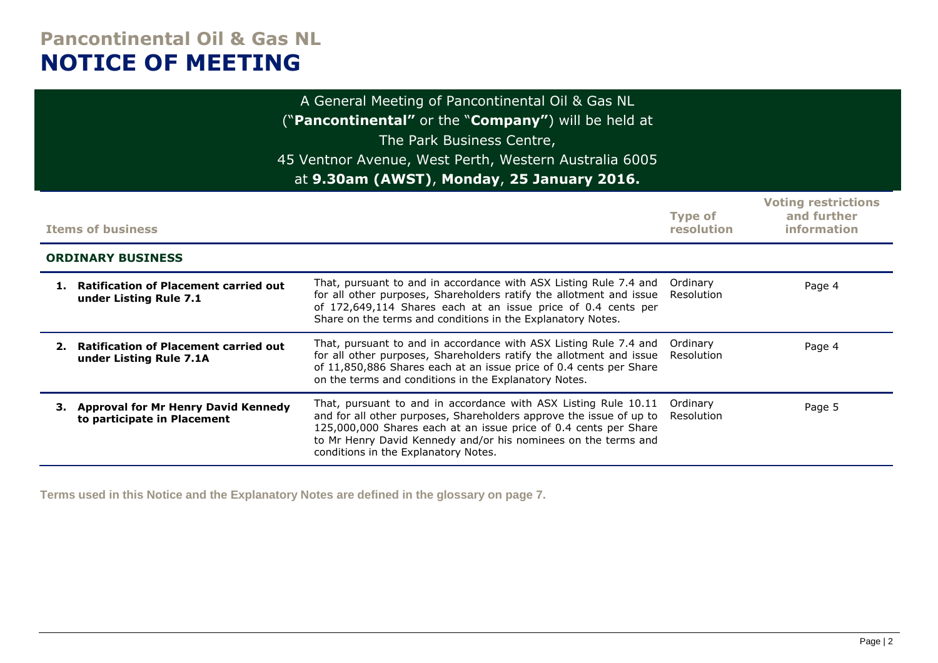# **Pancontinental Oil & Gas NL NOTICE OF MEETING**

|    | A General Meeting of Pancontinental Oil & Gas NL<br>("Pancontinental" or the "Company") will be held at<br>The Park Business Centre,<br>45 Ventnor Avenue, West Perth, Western Australia 6005<br>at 9.30am (AWST), Monday, 25 January 2016. |                                                                                                                                                                                                                                                                                                                      |                              |                                                          |  |
|----|---------------------------------------------------------------------------------------------------------------------------------------------------------------------------------------------------------------------------------------------|----------------------------------------------------------------------------------------------------------------------------------------------------------------------------------------------------------------------------------------------------------------------------------------------------------------------|------------------------------|----------------------------------------------------------|--|
|    | <b>Items of business</b>                                                                                                                                                                                                                    |                                                                                                                                                                                                                                                                                                                      | <b>Type of</b><br>resolution | <b>Voting restrictions</b><br>and further<br>information |  |
|    | <b>ORDINARY BUSINESS</b>                                                                                                                                                                                                                    |                                                                                                                                                                                                                                                                                                                      |                              |                                                          |  |
|    | 1. Ratification of Placement carried out<br>under Listing Rule 7.1                                                                                                                                                                          | That, pursuant to and in accordance with ASX Listing Rule 7.4 and<br>for all other purposes, Shareholders ratify the allotment and issue<br>of 172,649,114 Shares each at an issue price of 0.4 cents per<br>Share on the terms and conditions in the Explanatory Notes.                                             | Ordinary<br>Resolution       | Page 4                                                   |  |
| 2. | <b>Ratification of Placement carried out</b><br>under Listing Rule 7.1A                                                                                                                                                                     | That, pursuant to and in accordance with ASX Listing Rule 7.4 and<br>for all other purposes, Shareholders ratify the allotment and issue<br>of 11,850,886 Shares each at an issue price of 0.4 cents per Share<br>on the terms and conditions in the Explanatory Notes.                                              | Ordinary<br>Resolution       | Page 4                                                   |  |
|    | 3. Approval for Mr Henry David Kennedy<br>to participate in Placement                                                                                                                                                                       | That, pursuant to and in accordance with ASX Listing Rule 10.11<br>and for all other purposes, Shareholders approve the issue of up to<br>125,000,000 Shares each at an issue price of 0.4 cents per Share<br>to Mr Henry David Kennedy and/or his nominees on the terms and<br>conditions in the Explanatory Notes. | Ordinary<br>Resolution       | Page 5                                                   |  |

**Terms used in this Notice and the Explanatory Notes are defined in the glossary on page 7.**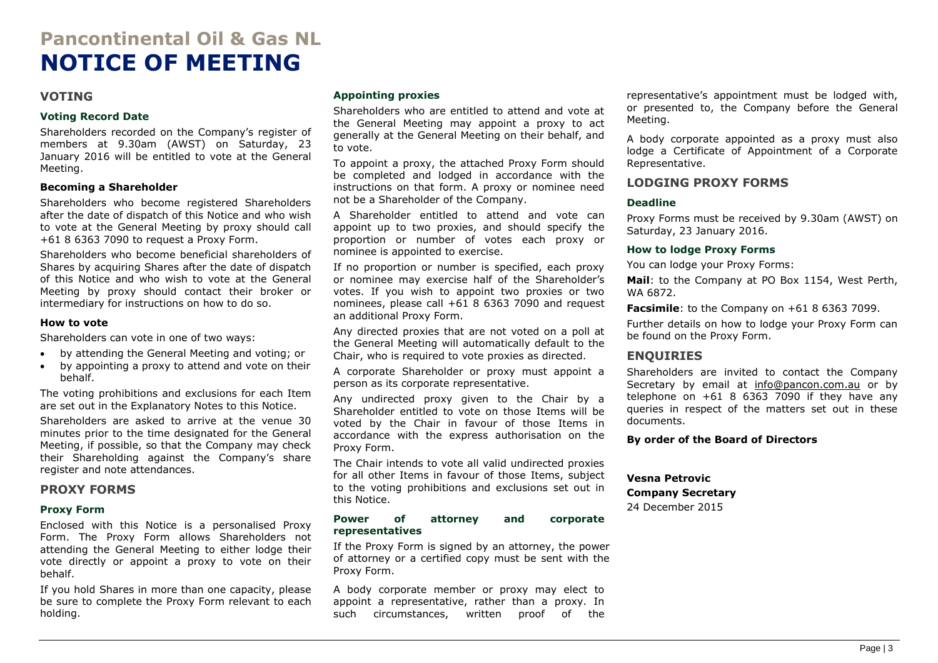# **Pancontinental Oil & Gas NL NOTICE OF MEETING**

#### **VOTING**

#### **Voting Record Date**

Shareholders recorded on the Company's register of members at 9.30am (AWST) on Saturday, 23 January 2016 will be entitled to vote at the General Meeting.

#### **Becoming a Shareholder**

Shareholders who become registered Shareholders after the date of dispatch of this Notice and who wish to vote at the General Meeting by proxy should call +61 8 6363 7090 to request a Proxy Form.

Shareholders who become beneficial shareholders of Shares by acquiring Shares after the date of dispatch of this Notice and who wish to vote at the General Meeting by proxy should contact their broker or intermediary for instructions on how to do so.

#### **How to vote**

Shareholders can vote in one of two ways:

- by attending the General Meeting and voting; or
- by appointing a proxy to attend and vote on their behalf.

The voting prohibitions and exclusions for each Item are set out in the Explanatory Notes to this Notice.

Shareholders are asked to arrive at the venue 30 minutes prior to the time designated for the General Meeting, if possible, so that the Company may check their Shareholding against the Company's share register and note attendances.

#### **PROXY FORMS**

#### **Proxy Form**

Enclosed with this Notice is a personalised Proxy Form. The Proxy Form allows Shareholders not attending the General Meeting to either lodge their vote directly or appoint a proxy to vote on their behalf.

If you hold Shares in more than one capacity, please be sure to complete the Proxy Form relevant to each holding.

#### **Appointing proxies**

Shareholders who are entitled to attend and vote at the General Meeting may appoint a proxy to act generally at the General Meeting on their behalf, and to vote.

To appoint a proxy, the attached Proxy Form should be completed and lodged in accordance with the instructions on that form. A proxy or nominee need not be a Shareholder of the Company.

A Shareholder entitled to attend and vote can appoint up to two proxies, and should specify the proportion or number of votes each proxy or nominee is appointed to exercise.

If no proportion or number is specified, each proxy or nominee may exercise half of the Shareholder's votes. If you wish to appoint two proxies or two nominees, please call +61 8 6363 7090 and request an additional Proxy Form.

Any directed proxies that are not voted on a poll at the General Meeting will automatically default to the Chair, who is required to vote proxies as directed.

A corporate Shareholder or proxy must appoint a person as its corporate representative.

Any undirected proxy given to the Chair by a Shareholder entitled to vote on those Items will be voted by the Chair in favour of those Items in accordance with the express authorisation on the Proxy Form.

The Chair intends to vote all valid undirected proxies for all other Items in favour of those Items, subject to the voting prohibitions and exclusions set out in this Notice.

#### **Power of attorney and corporate representatives**

If the Proxy Form is signed by an attorney, the power of attorney or a certified copy must be sent with the Proxy Form.

A body corporate member or proxy may elect to appoint a representative, rather than a proxy. In such circumstances, written proof of the

representative's appointment must be lodged with, or presented to, the Company before the General Meeting.

A body corporate appointed as a proxy must also lodge a Certificate of Appointment of a Corporate Representative.

#### **LODGING PROXY FORMS**

#### **Deadline**

Proxy Forms must be received by 9.30am (AWST) on Saturday, 23 January 2016.

#### **How to lodge Proxy Forms**

You can lodge your Proxy Forms:

**Mail**: to the Company at PO Box 1154, West Perth, WA 6872.

**Facsimile**: to the Company on +61 8 6363 7099.

Further details on how to lodge your Proxy Form can be found on the Proxy Form.

#### **ENQUIRIES**

Shareholders are invited to contact the Company Secretary by email at [info@pancon.com.au](mailto:info@pancon.com.au) or by telephone on  $+61$  8 6363 7090 if they have any queries in respect of the matters set out in these documents.

**By order of the Board of Directors**

#### **Vesna Petrovic**

**Company Secretary**

24 December 2015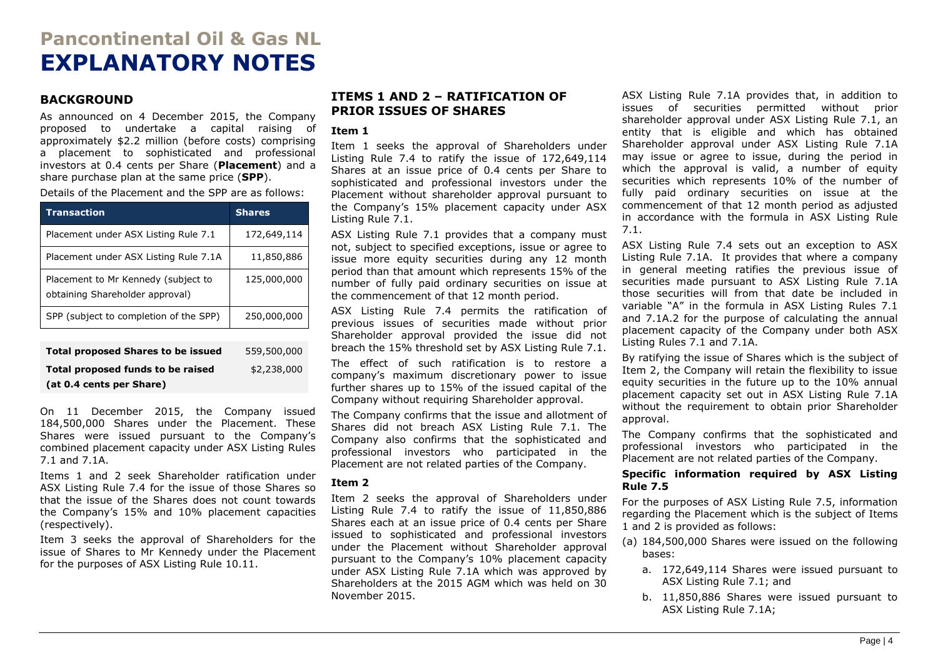# **Pancontinental Oil & Gas NL EXPLANATORY NOTES**

#### **BACKGROUND**

As announced on 4 December 2015, the Company proposed to undertake a capital raising of approximately \$2.2 million (before costs) comprising a placement to sophisticated and professional investors at 0.4 cents per Share (**Placement**) and a share purchase plan at the same price (**SPP**).

Details of the Placement and the SPP are as follows:

| <b>Transaction</b>                                                     | <b>Shares</b> |
|------------------------------------------------------------------------|---------------|
| Placement under ASX Listing Rule 7.1                                   | 172,649,114   |
| Placement under ASX Listing Rule 7.1A                                  | 11,850,886    |
| Placement to Mr Kennedy (subject to<br>obtaining Shareholder approval) | 125,000,000   |
| SPP (subject to completion of the SPP)                                 | 250,000,000   |
|                                                                        |               |
| <b>Total proposed Shares to be issued</b>                              | 559,500,000   |

| Total proposed funds to be raised | \$2,238,000 |
|-----------------------------------|-------------|
| (at 0.4 cents per Share)          |             |

On 11 December 2015, the Company issued 184,500,000 Shares under the Placement. These Shares were issued pursuant to the Company's combined placement capacity under ASX Listing Rules 7.1 and 7.1A.

Items 1 and 2 seek Shareholder ratification under ASX Listing Rule 7.4 for the issue of those Shares so that the issue of the Shares does not count towards the Company's 15% and 10% placement capacities (respectively).

Item 3 seeks the approval of Shareholders for the issue of Shares to Mr Kennedy under the Placement for the purposes of ASX Listing Rule 10.11.

#### **ITEMS 1 AND 2 – RATIFICATION OF PRIOR ISSUES OF SHARES**

#### **Item 1**

Item 1 seeks the approval of Shareholders under Listing Rule 7.4 to ratify the issue of 172,649,114 Shares at an issue price of 0.4 cents per Share to sophisticated and professional investors under the Placement without shareholder approval pursuant to the Company's 15% placement capacity under ASX Listing Rule 7.1.

ASX Listing Rule 7.1 provides that a company must not, subject to specified exceptions, issue or agree to issue more equity securities during any 12 month period than that amount which represents 15% of the number of fully paid ordinary securities on issue at the commencement of that 12 month period.

ASX Listing Rule 7.4 permits the ratification of previous issues of securities made without prior Shareholder approval provided the issue did not breach the 15% threshold set by ASX Listing Rule 7.1.

The effect of such ratification is to restore a company's maximum discretionary power to issue further shares up to 15% of the issued capital of the Company without requiring Shareholder approval.

The Company confirms that the issue and allotment of Shares did not breach ASX Listing Rule 7.1. The Company also confirms that the sophisticated and professional investors who participated in the Placement are not related parties of the Company.

#### **Item 2**

Item 2 seeks the approval of Shareholders under Listing Rule 7.4 to ratify the issue of 11,850,886 Shares each at an issue price of 0.4 cents per Share issued to sophisticated and professional investors under the Placement without Shareholder approval pursuant to the Company's 10% placement capacity under ASX Listing Rule 7.1A which was approved by Shareholders at the 2015 AGM which was held on 30 November 2015.

ASX Listing Rule 7.1A provides that, in addition to issues of securities permitted without prior shareholder approval under ASX Listing Rule 7.1, an entity that is eligible and which has obtained Shareholder approval under ASX Listing Rule 7.1A may issue or agree to issue, during the period in which the approval is valid, a number of equity securities which represents 10% of the number of fully paid ordinary securities on issue at the commencement of that 12 month period as adjusted in accordance with the formula in ASX Listing Rule 7.1.

ASX Listing Rule 7.4 sets out an exception to ASX Listing Rule 7.1A. It provides that where a company in general meeting ratifies the previous issue of securities made pursuant to ASX Listing Rule 7.1A those securities will from that date be included in variable "A" in the formula in ASX Listing Rules 7.1 and 7.1A.2 for the purpose of calculating the annual placement capacity of the Company under both ASX Listing Rules 7.1 and 7.1A.

By ratifying the issue of Shares which is the subject of Item 2, the Company will retain the flexibility to issue equity securities in the future up to the 10% annual placement capacity set out in ASX Listing Rule 7.1A without the requirement to obtain prior Shareholder approval.

The Company confirms that the sophisticated and professional investors who participated in the Placement are not related parties of the Company.

#### **Specific information required by ASX Listing Rule 7.5**

For the purposes of ASX Listing Rule 7.5, information regarding the Placement which is the subject of Items 1 and 2 is provided as follows:

- (a) 184,500,000 Shares were issued on the following bases:
	- a. 172,649,114 Shares were issued pursuant to ASX Listing Rule 7.1; and
	- b. 11,850,886 Shares were issued pursuant to ASX Listing Rule 7.1A;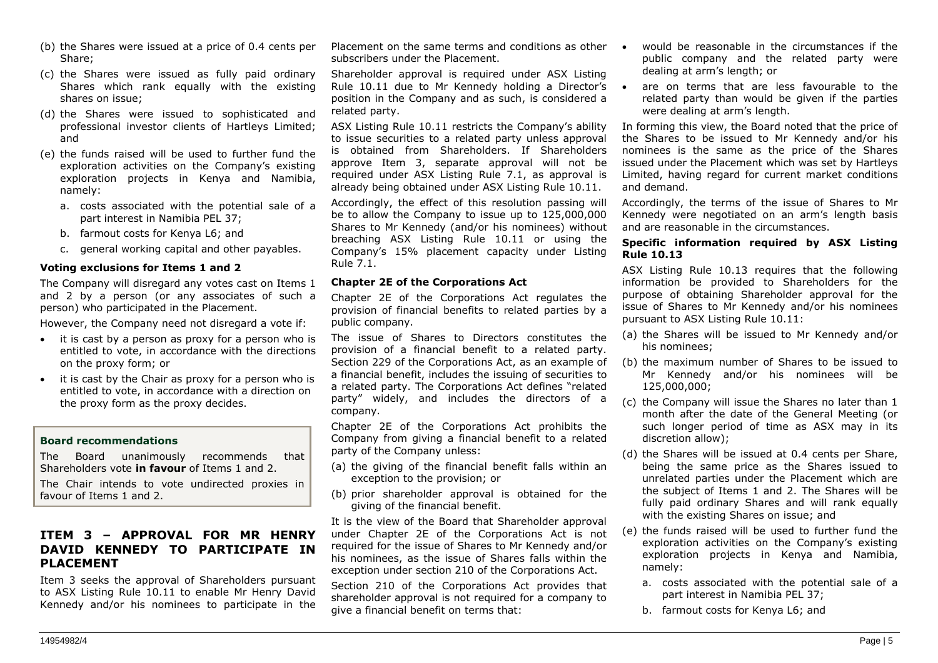- (b) the Shares were issued at a price of 0.4 cents per Share;
- (c) the Shares were issued as fully paid ordinary Shares which rank equally with the existing shares on issue;
- (d) the Shares were issued to sophisticated and professional investor clients of Hartleys Limited; and
- (e) the funds raised will be used to further fund the exploration activities on the Company's existing exploration projects in Kenya and Namibia, namely:
	- a. costs associated with the potential sale of a part interest in Namibia PEL 37;
	- b. farmout costs for Kenya L6; and
	- c. general working capital and other payables.

#### **Voting exclusions for Items 1 and 2**

The Company will disregard any votes cast on Items 1 and 2 by a person (or any associates of such a person) who participated in the Placement.

However, the Company need not disregard a vote if:

- it is cast by a person as proxy for a person who is entitled to vote, in accordance with the directions on the proxy form; or
- it is cast by the Chair as proxy for a person who is entitled to vote, in accordance with a direction on the proxy form as the proxy decides.

#### **Board recommendations**

The Board unanimously recommends that Shareholders vote **in favour** of Items 1 and 2.

The Chair intends to vote undirected proxies in favour of Items 1 and 2.

#### **ITEM 3 – APPROVAL FOR MR HENRY DAVID KENNEDY TO PARTICIPATE IN PLACEMENT**

Item 3 seeks the approval of Shareholders pursuant to ASX Listing Rule 10.11 to enable Mr Henry David Kennedy and/or his nominees to participate in the

Placement on the same terms and conditions as other  $\bullet$ subscribers under the Placement.

Shareholder approval is required under ASX Listing Rule 10.11 due to Mr Kennedy holding a Director's  $\bullet$ position in the Company and as such, is considered a related party.

ASX Listing Rule 10.11 restricts the Company's ability to issue securities to a related party unless approval is obtained from Shareholders. If Shareholders approve Item 3, separate approval will not be required under ASX Listing Rule 7.1, as approval is already being obtained under ASX Listing Rule 10.11.

Accordingly, the effect of this resolution passing will be to allow the Company to issue up to 125,000,000 Shares to Mr Kennedy (and/or his nominees) without breaching ASX Listing Rule 10.11 or using the Company's 15% placement capacity under Listing Rule 7.1.

#### **Chapter 2E of the Corporations Act**

Chapter 2E of the Corporations Act regulates the provision of financial benefits to related parties by a public company.

The issue of Shares to Directors constitutes the provision of a financial benefit to a related party. Section 229 of the Corporations Act, as an example of a financial benefit, includes the issuing of securities to a related party. The Corporations Act defines "related party" widely, and includes the directors of a company.

Chapter 2E of the Corporations Act prohibits the Company from giving a financial benefit to a related party of the Company unless:

- (a) the giving of the financial benefit falls within an exception to the provision; or
- (b) prior shareholder approval is obtained for the giving of the financial benefit.

It is the view of the Board that Shareholder approval under Chapter 2E of the Corporations Act is not required for the issue of Shares to Mr Kennedy and/or his nominees, as the issue of Shares falls within the exception under section 210 of the Corporations Act.

Section 210 of the Corporations Act provides that shareholder approval is not required for a company to give a financial benefit on terms that:

- would be reasonable in the circumstances if the public company and the related party were dealing at arm's length; or
- are on terms that are less favourable to the related party than would be given if the parties were dealing at arm's length.

In forming this view, the Board noted that the price of the Shares to be issued to Mr Kennedy and/or his nominees is the same as the price of the Shares issued under the Placement which was set by Hartleys Limited, having regard for current market conditions and demand.

Accordingly, the terms of the issue of Shares to Mr Kennedy were negotiated on an arm's length basis and are reasonable in the circumstances.

#### **Specific information required by ASX Listing Rule 10.13**

ASX Listing Rule 10.13 requires that the following information be provided to Shareholders for the purpose of obtaining Shareholder approval for the issue of Shares to Mr Kennedy and/or his nominees pursuant to ASX Listing Rule 10.11:

- (a) the Shares will be issued to Mr Kennedy and/or his nominees;
- (b) the maximum number of Shares to be issued to Mr Kennedy and/or his nominees will be 125,000,000;
- (c) the Company will issue the Shares no later than 1 month after the date of the General Meeting (or such longer period of time as ASX may in its discretion allow);
- (d) the Shares will be issued at 0.4 cents per Share, being the same price as the Shares issued to unrelated parties under the Placement which are the subject of Items 1 and 2. The Shares will be fully paid ordinary Shares and will rank equally with the existing Shares on issue; and
- (e) the funds raised will be used to further fund the exploration activities on the Company's existing exploration projects in Kenya and Namibia, namely:
	- a. costs associated with the potential sale of a part interest in Namibia PEL 37;
	- b. farmout costs for Kenya L6; and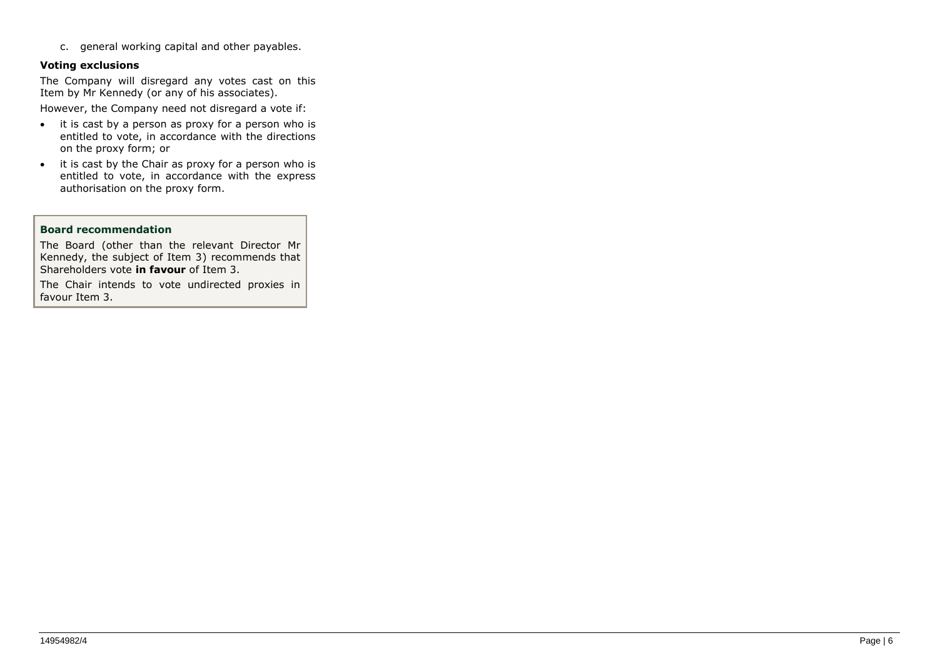c. general working capital and other payables.

#### **Voting exclusions**

The Company will disregard any votes cast on this Item by Mr Kennedy (or any of his associates).

However, the Company need not disregard a vote if:

- it is cast by a person as proxy for a person who is entitled to vote, in accordance with the directions on the proxy form; or
- it is cast by the Chair as proxy for a person who is entitled to vote, in accordance with the express authorisation on the proxy form.

#### **Board recommendation**

The Board (other than the relevant Director Mr Kennedy, the subject of Item 3) recommends that Shareholders vote **in favour** of Item 3.

The Chair intends to vote undirected proxies in favour Item 3.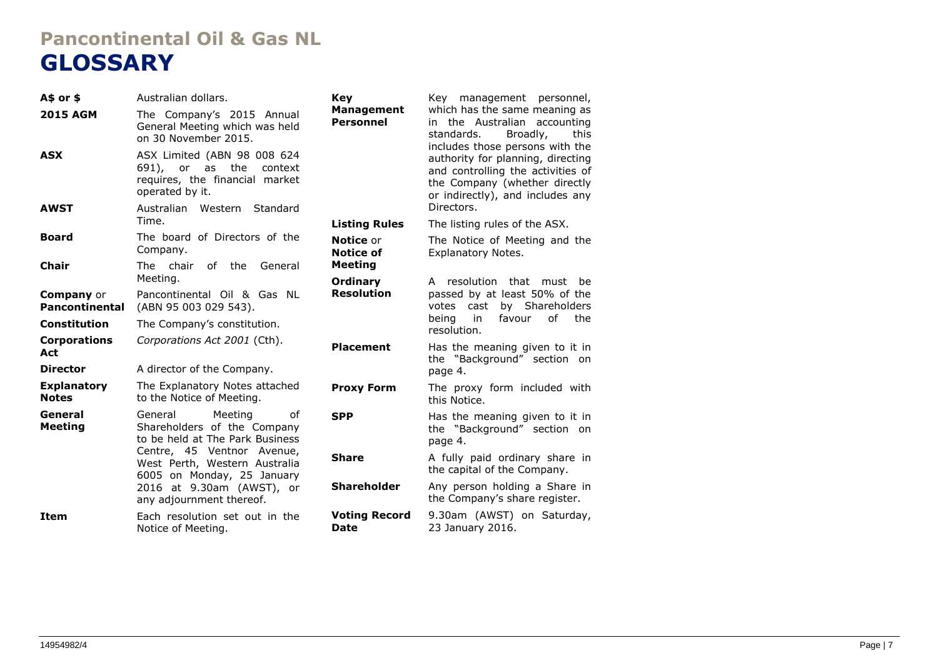# **Pancontinental Oil & Gas NL GLOSSARY**

| A\$ or \$                                  | Australian dollars.                                                                                               | Kev                                   | Key management personnel,                                                                                                                                                      |  |
|--------------------------------------------|-------------------------------------------------------------------------------------------------------------------|---------------------------------------|--------------------------------------------------------------------------------------------------------------------------------------------------------------------------------|--|
| <b>2015 AGM</b>                            | The Company's 2015 Annual<br>General Meeting which was held<br>on 30 November 2015.                               | <b>Management</b><br><b>Personnel</b> | which has the same meaning as<br>in the Australian accounting<br>standards.<br>Broadly,<br>this                                                                                |  |
| <b>ASX</b>                                 | ASX Limited (ABN 98 008 624<br>691), or as<br>the<br>context<br>requires, the financial market<br>operated by it. |                                       | includes those persons with the<br>authority for planning, directing<br>and controlling the activities of<br>the Company (whether directly<br>or indirectly), and includes any |  |
| <b>AWST</b>                                | Australian Western<br>Standard<br>Time.                                                                           |                                       | Directors.                                                                                                                                                                     |  |
|                                            |                                                                                                                   | <b>Listing Rules</b>                  | The listing rules of the ASX.                                                                                                                                                  |  |
| <b>Board</b>                               | The board of Directors of the<br>Company.                                                                         | <b>Notice</b> or<br>Notice of         | The Notice of Meeting and the<br><b>Explanatory Notes.</b>                                                                                                                     |  |
| Chair                                      | The chair<br>of the<br>General                                                                                    | <b>Meeting</b>                        |                                                                                                                                                                                |  |
|                                            | Meeting.                                                                                                          | <b>Ordinary</b>                       | A resolution<br>that must<br>be                                                                                                                                                |  |
| <b>Company</b> or<br><b>Pancontinental</b> | Pancontinental Oil & Gas NL<br>(ABN 95 003 029 543).                                                              | <b>Resolution</b>                     | passed by at least 50% of the<br>votes cast<br>by Shareholders                                                                                                                 |  |
| Constitution                               | The Company's constitution.                                                                                       |                                       | being<br>in<br>favour<br>οf<br>the<br>resolution.                                                                                                                              |  |
| <b>Corporations</b><br>Act                 | Corporations Act 2001 (Cth).                                                                                      | <b>Placement</b>                      | Has the meaning given to it in<br>the "Background" section on                                                                                                                  |  |
| <b>Director</b>                            | A director of the Company.                                                                                        |                                       | page 4.                                                                                                                                                                        |  |
| <b>Explanatory</b><br><b>Notes</b>         | The Explanatory Notes attached<br>to the Notice of Meeting.                                                       | <b>Proxy Form</b>                     | The proxy form included with<br>this Notice.                                                                                                                                   |  |
| General<br><b>Meeting</b>                  | General<br>Meeting<br>οf<br>Shareholders of the Company<br>to be held at The Park Business                        | <b>SPP</b>                            | Has the meaning given to it in<br>the "Background" section on<br>page 4.                                                                                                       |  |
|                                            | Centre, 45 Ventnor Avenue,<br>West Perth, Western Australia<br>6005 on Monday, 25 January                         | <b>Share</b>                          | A fully paid ordinary share in<br>the capital of the Company.                                                                                                                  |  |
|                                            | 2016 at 9.30am (AWST), or<br>any adjournment thereof.                                                             | <b>Shareholder</b>                    | Any person holding a Share in<br>the Company's share register.                                                                                                                 |  |
| <b>Item</b>                                | Each resolution set out in the<br>Notice of Meeting.                                                              | <b>Voting Record</b><br><b>Date</b>   | 9.30am (AWST) on Saturday,<br>23 January 2016.                                                                                                                                 |  |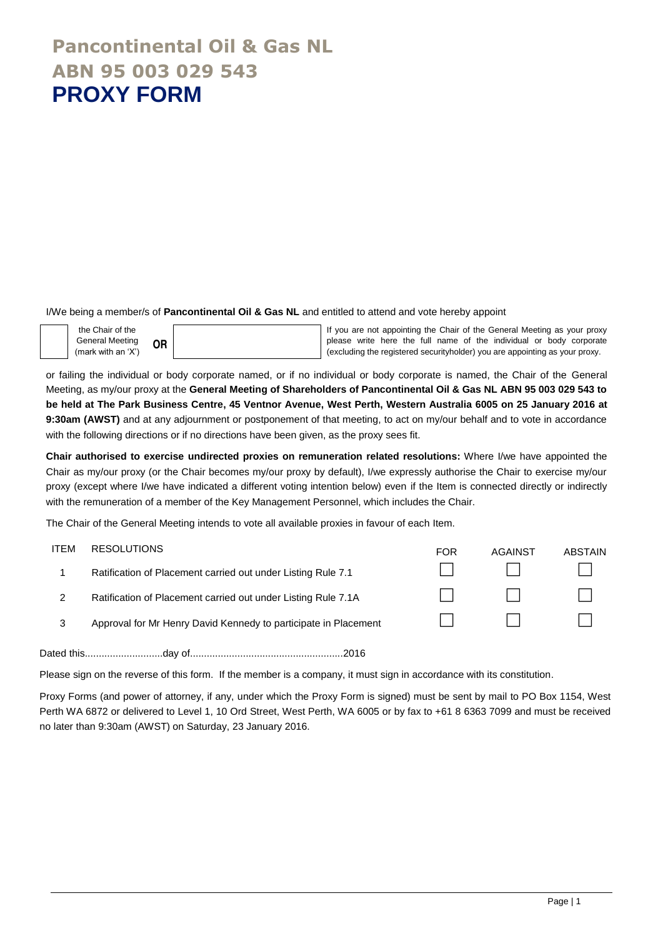### **Pancontinental Oil & Gas NL ABN 95 003 029 543 PROXY FORM**

I/We being a member/s of **Pancontinental Oil & Gas NL** and entitled to attend and vote hereby appoint



If you are not appointing the Chair of the General Meeting as your proxy please write here the full name of the individual or body corporate (excluding the registered securityholder) you are appointing as your proxy.

or failing the individual or body corporate named, or if no individual or body corporate is named, the Chair of the General Meeting, as my/our proxy at the **General Meeting of Shareholders of Pancontinental Oil & Gas NL ABN 95 003 029 543 to be held at The Park Business Centre, 45 Ventnor Avenue, West Perth, Western Australia 6005 on 25 January 2016 at 9:30am (AWST)** and at any adjournment or postponement of that meeting, to act on my/our behalf and to vote in accordance with the following directions or if no directions have been given, as the proxy sees fit.

**Chair authorised to exercise undirected proxies on remuneration related resolutions:** Where I/we have appointed the Chair as my/our proxy (or the Chair becomes my/our proxy by default), I/we expressly authorise the Chair to exercise my/our proxy (except where I/we have indicated a different voting intention below) even if the Item is connected directly or indirectly with the remuneration of a member of the Key Management Personnel, which includes the Chair.

The Chair of the General Meeting intends to vote all available proxies in favour of each Item.

| ITEM | <b>RESOLUTIONS</b>                                              | <b>FOR</b> | AGAINST | <b>ABSTAIN</b> |
|------|-----------------------------------------------------------------|------------|---------|----------------|
|      | Ratification of Placement carried out under Listing Rule 7.1    |            |         |                |
|      | Ratification of Placement carried out under Listing Rule 7.1A   |            |         | $\perp$        |
| 3    | Approval for Mr Henry David Kennedy to participate in Placement |            |         |                |
|      |                                                                 |            |         |                |

Dated this............................day of.......................................................2016

Please sign on the reverse of this form. If the member is a company, it must sign in accordance with its constitution.

Proxy Forms (and power of attorney, if any, under which the Proxy Form is signed) must be sent by mail to PO Box 1154, West Perth WA 6872 or delivered to Level 1, 10 Ord Street, West Perth, WA 6005 or by fax to +61 8 6363 7099 and must be received no later than 9:30am (AWST) on Saturday, 23 January 2016.